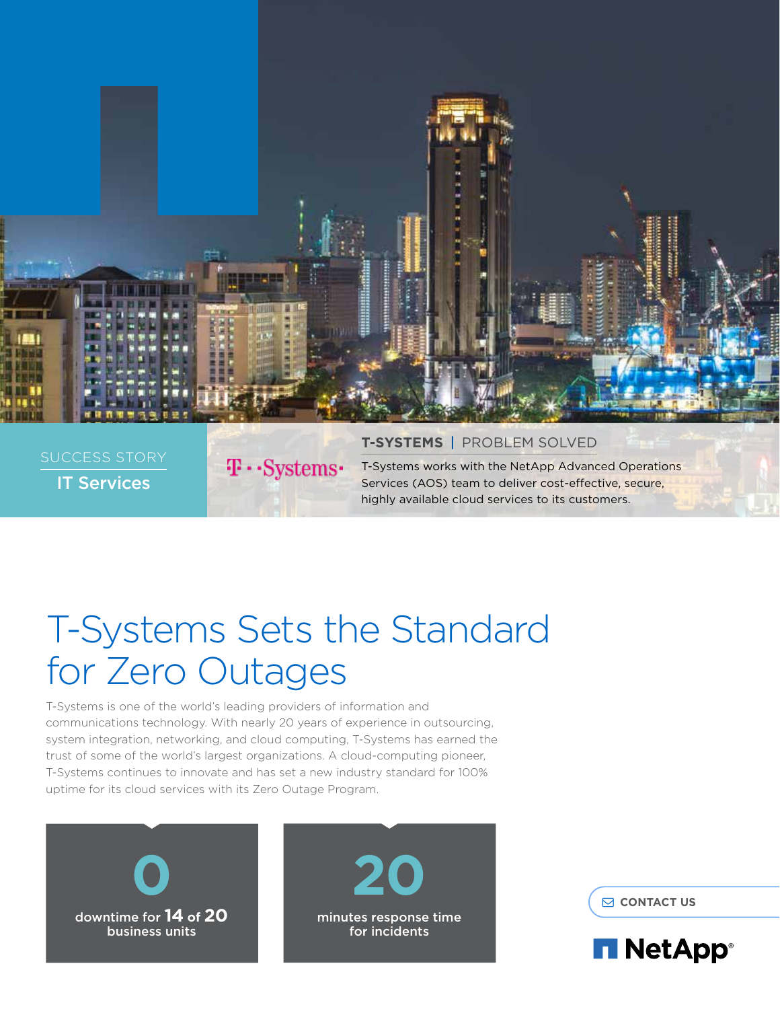

# T-Systems Sets the Standard for Zero Outages

T-Systems is one of the world's leading providers of information and communications technology. With nearly 20 years of experience in outsourcing, system integration, networking, and cloud computing, T-Systems has earned the trust of some of the world's largest organizations. A cloud-computing pioneer, T-Systems continues to innovate and has set a new industry standard for 100% uptime for its cloud services with its Zero Outage Program.





 $\Theta$  **[CONTACT US](https://www.netapp.com/us/forms/sales-inquiry/services-sales-contact.aspx)** 

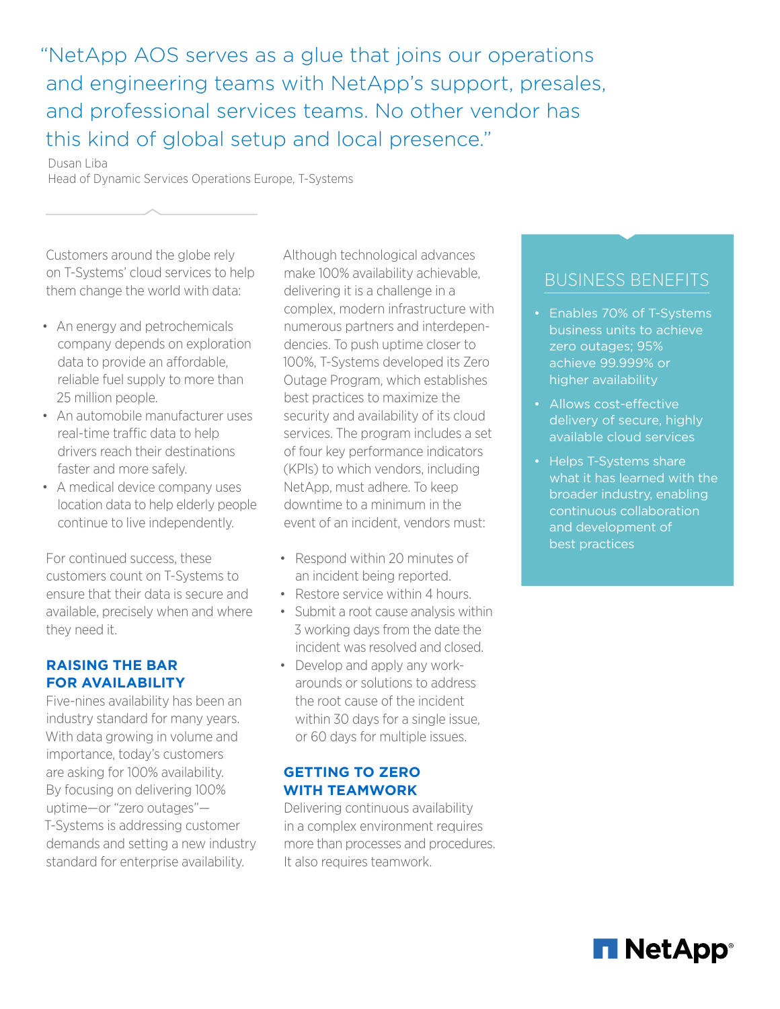"NetApp AOS serves as a glue that joins our operations and engineering teams with NetApp's support, presales, and professional services teams. No other vendor has this kind of global setup and local presence."

Dusan Liba Head of Dynamic Services Operations Europe, T-Systems

Customers around the globe rely on T-Systems' cloud services to help them change the world with data:

- An energy and petrochemicals company depends on exploration data to provide an affordable, reliable fuel supply to more than 25 million people.
- An automobile manufacturer uses real-time traffic data to help drivers reach their destinations faster and more safely.
- A medical device company uses location data to help elderly people continue to live independently.

For continued success, these customers count on T-Systems to ensure that their data is secure and available, precisely when and where they need it.

### **RAISING THE BAR FOR AVAILABILITY**

Five-nines availability has been an industry standard for many years. With data growing in volume and importance, today's customers are asking for 100% availability. By focusing on delivering 100% uptime—or "zero outages"— T-Systems is addressing customer demands and setting a new industry standard for enterprise availability.

Although technological advances make 100% availability achievable, delivering it is a challenge in a complex, modern infrastructure with numerous partners and interdependencies. To push uptime closer to 100%, T-Systems developed its Zero Outage Program, which establishes best practices to maximize the security and availability of its cloud services. The program includes a set of four key performance indicators (KPIs) to which vendors, including NetApp, must adhere. To keep downtime to a minimum in the event of an incident, vendors must:

- Respond within 20 minutes of an incident being reported.
- Restore service within 4 hours.
- Submit a root cause analysis within 3 working days from the date the incident was resolved and closed.
- Develop and apply any workarounds or solutions to address the root cause of the incident within 30 days for a single issue, or 60 days for multiple issues.

### **GETTING TO ZERO WITH TEAMWORK**

Delivering continuous availability in a complex environment requires more than processes and procedures. It also requires teamwork.

### BUSINESS BENEFITS

- Enables 70% of T-Systems business units to achieve zero outages; 95% achieve 99.999% or higher availability
- Allows cost-effective delivery of secure, highly available cloud services
- Helps T-Systems share what it has learned with the broader industry, enabling continuous collaboration and development of best practices

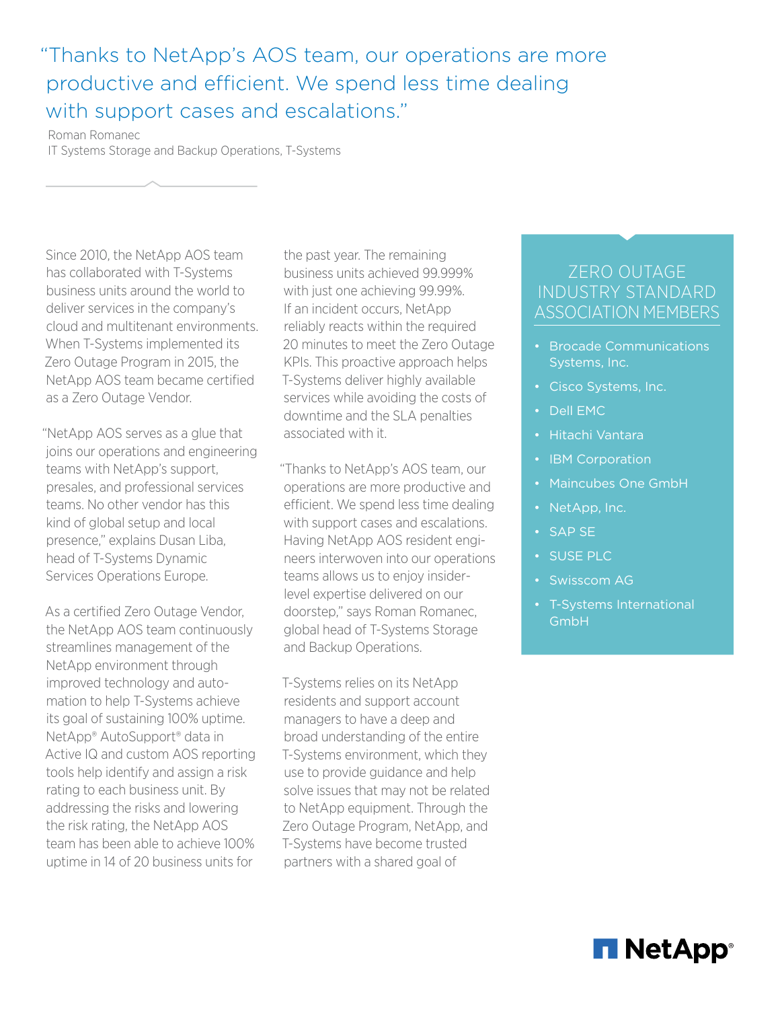## "Thanks to NetApp's AOS team, our operations are more productive and efficient. We spend less time dealing with support cases and escalations."

Roman Romanec IT Systems Storage and Backup Operations, T-Systems

Since 2010, the NetApp AOS team has collaborated with T-Systems business units around the world to deliver services in the company's cloud and multitenant environments. When T-Systems implemented its Zero Outage Program in 2015, the NetApp AOS team became certified as a Zero Outage Vendor.

"NetApp AOS serves as a glue that joins our operations and engineering teams with NetApp's support, presales, and professional services teams. No other vendor has this kind of global setup and local presence," explains Dusan Liba, head of T-Systems Dynamic Services Operations Europe.

As a certified Zero Outage Vendor, the NetApp AOS team continuously streamlines management of the NetApp environment through improved technology and automation to help T-Systems achieve its goal of sustaining 100% uptime. NetApp® AutoSupport® data in Active IQ and custom AOS reporting tools help identify and assign a risk rating to each business unit. By addressing the risks and lowering the risk rating, the NetApp AOS team has been able to achieve 100% uptime in 14 of 20 business units for

the past year. The remaining business units achieved 99.999% with just one achieving 99.99%. If an incident occurs, NetApp reliably reacts within the required 20 minutes to meet the Zero Outage KPIs. This proactive approach helps T-Systems deliver highly available services while avoiding the costs of downtime and the SLA penalties associated with it.

"Thanks to NetApp's AOS team, our operations are more productive and efficient. We spend less time dealing with support cases and escalations. Having NetApp AOS resident engineers interwoven into our operations teams allows us to enjoy insiderlevel expertise delivered on our doorstep," says Roman Romanec, global head of T-Systems Storage and Backup Operations.

T-Systems relies on its NetApp residents and support account managers to have a deep and broad understanding of the entire T-Systems environment, which they use to provide guidance and help solve issues that may not be related to NetApp equipment. Through the Zero Outage Program, NetApp, and T-Systems have become trusted partners with a shared goal of

### ZERO OUTAGE INDUSTRY STANDARD ASSOCIATION MEMBERS

- Brocade Communications Systems, Inc.
- Cisco Systems, Inc.
- Dell EMC
- Hitachi Vantara
- **IBM Corporation**
- Maincubes One GmbH
- NetApp, Inc.
- SAP SE
- SUSE PLC
- Swisscom AG
- T-Systems International GmbH